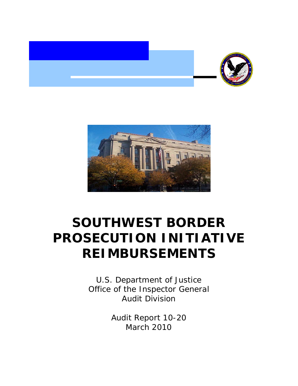



# **SOUTHWEST BORDER PROSECUTION INITIATIVE REIMBURSEMENTS**

 Office of the Inspector General U.S. Department of Justice Audit Division

> Audit Report 10-20 March 2010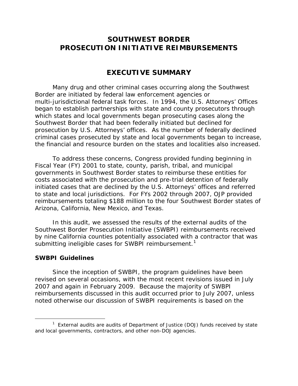# **SOUTHWEST BORDER PROSECUTION INITIATIVE REIMBURSEMENTS**

# **EXECUTIVE SUMMARY**

 Border are initiated by federal law enforcement agencies or multi-jurisdictional federal task forces. In 1994, the U.S. Attorneys' Offices which states and local governments began prosecuting cases along the prosecution by U.S. Attorneys' offices. As the number of federally declined Many drug and other criminal cases occurring along the Southwest began to establish partnerships with state and county prosecutors through Southwest Border that had been federally initiated but declined for criminal cases prosecuted by state and local governments began to increase, the financial and resource burden on the states and localities also increased.

To address these concerns, Congress provided funding beginning in Fiscal Year (FY) 2001 to state, county, parish, tribal, and municipal governments in Southwest Border states to reimburse these entities for costs associated with the prosecution and pre-trial detention of federally initiated cases that are declined by the U.S. Attorneys' offices and referred to state and local jurisdictions. For FYs 2002 through 2007, OJP provided reimbursements totaling \$188 million to the four Southwest Border states of Arizona, California, New Mexico, and Texas.

 In this audit, we assessed the results of the external audits of the Southwest Border Prosecution Initiative (SWBPI) reimbursements received by nine California counties potentially associated with a contractor that was submitting ineligible cases for SWBPI reimbursement.<sup>1</sup>

#### **SWBPI Guidelines**

 $\overline{a}$ 

 2007 and again in February 2009. Because the majority of SWBPI Since the inception of SWBPI, the program guidelines have been revised on several occasions, with the most recent revisions issued in July reimbursements discussed in this audit occurred prior to July 2007, unless noted otherwise our discussion of SWBPI requirements is based on the

<span id="page-1-0"></span><sup>&</sup>lt;sup>1</sup> External audits are audits of Department of Justice (DOJ) funds received by state and local governments, contractors, and other non-DOJ agencies.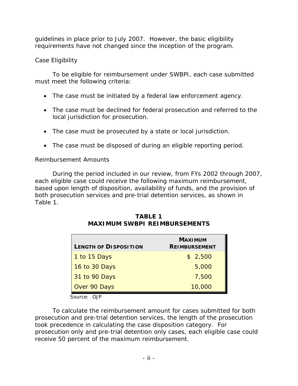guidelines in place prior to July 2007. However, the basic eligibility requirements have not changed since the inception of the program.

# *Case Eligibility*

To be eligible for reimbursement under SWBPI, each case submitted must meet the following criteria:

- The case must be initiated by a federal law enforcement agency.
- The case must be declined for federal prosecution and referred to the local jurisdiction for prosecution.
- The case must be prosecuted by a state or local jurisdiction.
- The case must be disposed of during an eligible reporting period.

# *Reimbursement Amounts*

 Table 1. During the period included in our review, from FYs 2002 through 2007, each eligible case could receive the following maximum reimbursement, based upon length of disposition, availability of funds, and the provision of both prosecution services and pre-trial detention services, as shown in

| <b>LENGTH OF DISPOSITION</b> | <b>MAXIMUM</b><br><b>REIMBURSEMENT</b> |  |
|------------------------------|----------------------------------------|--|
| 1 to 15 Days                 | \$2,500                                |  |
| 16 to 30 Days                | 5,000                                  |  |
| 31 to 90 Days                | 7,500                                  |  |
| Over 90 Days                 | 10,000                                 |  |

**TABLE 1 MAXIMUM SWBPI REIMBURSEMENTS**

Source: OJP

To calculate the reimbursement amount for cases submitted for both prosecution and pre-trial detention services, the length of the prosecution took precedence in calculating the case disposition category. For prosecution only and pre-trial detention only cases, each eligible case could receive 50 percent of the maximum reimbursement.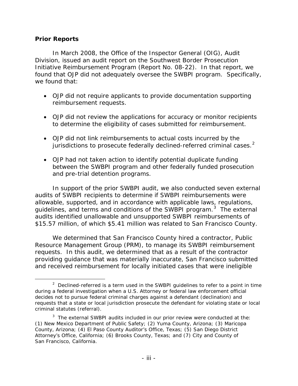# **Prior Reports**

 $\overline{a}$ 

In March 2008, the Office of the Inspector General (OIG), Audit Division, issued an audit report on the *Southwest Border Prosecution Initiative Reimbursement Program* (Report No. 08-22). In that report, we found that OJP did not adequately oversee the SWBPI program. Specifically, we found that:

- reimbursement requests. • OJP did not require applicants to provide documentation supporting
- OJP did not review the applications for accuracy or monitor recipients to determine the eligibility of cases submitted for reimbursement.
- OJP did not link reimbursements to actual costs incurred by the jurisdictions to prosecute federally declined-referred criminal cases.<sup>[2](#page-3-0)</sup>
- OJP had not taken action to identify potential duplicate funding between the SWBPI program and other federally funded prosecution and pre-trial detention programs.

guidelines, and terms and conditions of the SWBPI program. $3$  The external \$15.57 million, of which \$5.41 million was related to San Francisco County. In support of the prior SWBPI audit, we also conducted seven external audits of SWBPI recipients to determine if SWBPI reimbursements were allowable, supported, and in accordance with applicable laws, regulations, audits identified unallowable and unsupported SWBPI reimbursements of

 requests. In this audit, we determined that as a result of the contractor We determined that San Francisco County hired a contractor, Public Resource Management Group (PRM), to manage its SWBPI reimbursement providing guidance that was materially inaccurate, San Francisco submitted and received reimbursement for locally initiated cases that were ineligible

<span id="page-3-0"></span><sup>&</sup>lt;sup>2</sup> Declined-referred is a term used in the SWBPI guidelines to refer to a point in time during a federal investigation when a U.S. Attorney or federal law enforcement official decides not to pursue federal criminal charges against a defendant (declination) and requests that a state or local jurisdiction prosecute the defendant for violating state or local criminal statutes (referral).

<span id="page-3-1"></span> $3$  The external SWBPI audits included in our prior review were conducted at the: (1) New Mexico Department of Public Safety; (2) Yuma County, Arizona; (3) Maricopa County, Arizona; (4) El Paso County Auditor's Office, Texas; (5) San Diego District Attorney's Office, California; (6) Brooks County, Texas; and (7) City and County of San Francisco, California.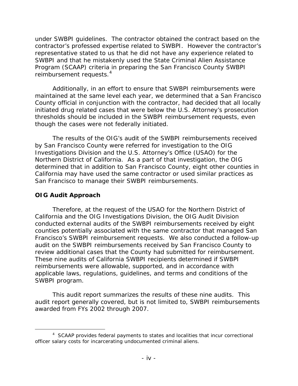under SWBPI guidelines. The contractor obtained the contract based on the contractor's professed expertise related to SWBPI. However the contractor's Program (SCAAP) criteria in preparing the San Francisco County SWBPI reimbursement requests.<sup>4</sup> representative stated to us that he did not have any experience related to SWBPI and that he mistakenly used the State Criminal Alien Assistance

Additionally, in an effort to ensure that SWBPI reimbursements were maintained at the same level each year, we determined that a San Francisco County official in conjunction with the contractor, had decided that all locally initiated drug related cases that were below the U.S. Attorney's prosecution thresholds should be included in the SWBPI reimbursement requests, even though the cases were not federally initiated.

 Northern District of California. As a part of that investigation, the OIG The results of the OIG's audit of the SWBPI reimbursements received by San Francisco County were referred for investigation to the OIG Investigations Division and the U.S. Attorney's Office (USAO) for the determined that in addition to San Francisco County, eight other counties in California may have used the same contractor or used similar practices as San Francisco to manage their SWBPI reimbursements.

# **OIG Audit Approach**

 $\overline{a}$ 

review additional cases that the County had submitted for reimbursement. Therefore, at the request of the USAO for the Northern District of California and the OIG Investigations Division, the OIG Audit Division conducted external audits of the SWBPI reimbursements received by eight counties potentially associated with the same contractor that managed San Francisco's SWBPI reimbursement requests. We also conducted a follow-up audit on the SWBPI reimbursements received by San Francisco County to These nine audits of California SWBPI recipients determined if SWBPI reimbursements were allowable, supported, and in accordance with applicable laws, regulations, guidelines, and terms and conditions of the SWBPI program.

 awarded from FYs 2002 through 2007. 4 SCAAP provides federal payments to states and localities that incur correctional This audit report summarizes the results of these nine audits. This awarded from FYs 2002 through 2007. audit report generally covered, but is not limited to, SWBPI reimbursements

<span id="page-4-0"></span> officer salary costs for incarcerating undocumented criminal aliens.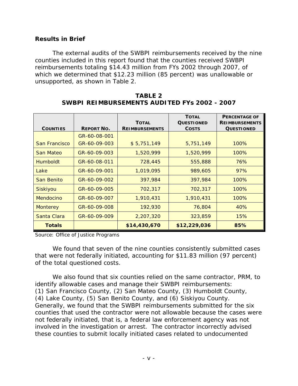## **Results in Brief**

The external audits of the SWBPI reimbursements received by the nine counties included in this report found that the counties received SWBPI reimbursements totaling \$14.43 million from FYs 2002 through 2007, of which we determined that \$12.23 million (85 percent) was unallowable or unsupported, as shown in Table 2.

|                   |                   | <b>TOTAL</b>          | <b>TOTAL</b><br><b>QUESTIONED</b> | <b>PERCENTAGE OF</b><br><b>REIMBURSEMENTS</b> |
|-------------------|-------------------|-----------------------|-----------------------------------|-----------------------------------------------|
| <b>COUNTIES</b>   | <b>REPORT NO.</b> | <b>REIMBURSEMENTS</b> | <b>COSTS</b>                      | <b>QUESTIONED</b>                             |
|                   | GR-60-08-001      |                       |                                   |                                               |
| San Francisco     | GR-60-09-003      | \$5,751,149           | 5,751,149                         | 100%                                          |
| San Mateo         | GR-60-09-003      | 1,520,999             | 1,520,999                         | 100%                                          |
| <b>Humboldt</b>   | GR-60-08-011      | 728,445               | 555,888                           | 76%                                           |
| Lake              | GR-60-09-001      | 1,019,095             | 989,605                           | 97%                                           |
| <b>San Benito</b> | GR-60-09-002      | 397,984               | 397,984                           | 100%                                          |
| Siskiyou          | GR-60-09-005      | 702,317               | 702,317                           | 100%                                          |
| Mendocino         | GR-60-09-007      | 1,910,431             | 1,910,431                         | 100%                                          |
| <b>Monterey</b>   | GR-60-09-008      | 192,930               | 76,804                            | 40%                                           |
| Santa Clara       | GR-60-09-009      | 2,207,320             | 323,859                           | 15%                                           |
| <b>Totals</b>     |                   | \$14,430,670          | \$12,229,036                      | 85%                                           |

**TABLE 2 SWBPI REIMBURSEMENTS AUDITED FYs 2002 - 2007**

Source: Office of Justice Programs

We found that seven of the nine counties consistently submitted cases that were not federally initiated, accounting for \$11.83 million (97 percent) of the total questioned costs.

identify allowable cases and manage their SWBPI reimbursements: identify allowable cases and manage their SWBPI reimbursements: (1) San Francisco County, (2) San Mateo County, (3) Humboldt County, involved in the investigation or arrest. The contractor incorrectly advised We also found that six counties relied on the same contractor, PRM, to (4) Lake County, (5) San Benito County, and (6) Siskiyou County. Generally, we found that the SWBPI reimbursements submitted for the six counties that used the contractor were not allowable because the cases were not federally initiated, that is, a federal law enforcement agency was not these counties to submit locally initiated cases related to undocumented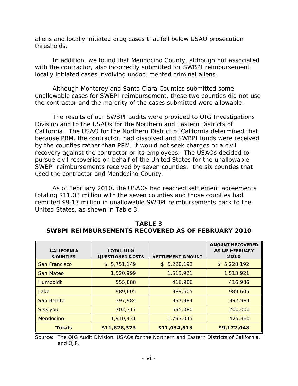aliens and locally initiated drug cases that fell below USAO prosecution thresholds.

In addition, we found that Mendocino County, although not associated with the contractor, also incorrectly submitted for SWBPI reimbursement locally initiated cases involving undocumented criminal aliens.

Although Monterey and Santa Clara Counties submitted some unallowable cases for SWBPI reimbursement, these two counties did not use the contractor and the majority of the cases submitted were allowable.

 by the counties rather than PRM, it would not seek charges or a civil recovery against the contractor or its employees. The USAOs decided to The results of our SWBPI audits were provided to OIG Investigations Division and to the USAOs for the Northern and Eastern Districts of California. The USAO for the Northern District of California determined that because PRM, the contractor, had dissolved and SWBPI funds were received pursue civil recoveries on behalf of the United States for the unallowable SWBPI reimbursements received by seven counties: the six counties that used the contractor and Mendocino County.

As of February 2010, the USAOs had reached settlement agreements totaling \$11.03 million with the seven counties and those counties had remitted \$9.17 million in unallowable SWBPI reimbursements back to the United States, as shown in Table 3.

| <b>CALIFORNIA</b><br><b>COUNTIES</b> | <b>TOTAL OIG</b><br><b>QUESTIONED COSTS</b> | <b>SETTLEMENT AMOUNT</b> | <b>AMOUNT RECOVERED</b><br><b>AS OF FEBRUARY</b><br>2010 |
|--------------------------------------|---------------------------------------------|--------------------------|----------------------------------------------------------|
| San Francisco                        | \$5,751,149                                 | \$5,228,192              | \$5,228,192                                              |
| San Mateo                            | 1,520,999                                   | 1,513,921                | 1,513,921                                                |
| <b>Humboldt</b>                      | 555,888                                     | 416,986                  | 416,986                                                  |
| Lake                                 | 989.605                                     | 989,605                  | 989,605                                                  |
| San Benito                           | 397,984                                     | 397,984                  | 397,984                                                  |
| Siskiyou                             | 702,317                                     | 695,080                  | 200,000                                                  |
| Mendocino                            | 1,910,431                                   | 1,793,045                | 425,360                                                  |
| <b>Totals</b>                        | \$11,828,373                                | \$11,034,813             | \$9,172,048                                              |

**TABLE 3 SWBPI REIMBURSEMENTS RECOVERED AS OF FEBRUARY 2010**

Source: The OIG Audit Division, USAOs for the Northern and Eastern Districts of California, and OJP.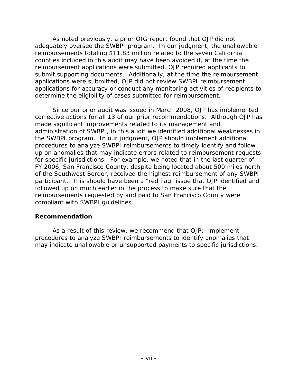adequately oversee the SWBPI program. In our judgment, the unallowable submit supporting documents. Additionally, at the time the reimbursement As noted previously, a prior OIG report found that OJP did not reimbursements totaling \$11.83 million related to the seven California counties included in this audit may have been avoided if, at the time the reimbursement applications were submitted, OJP required applicants to applications were submitted, OJP did not review SWBPI reimbursement applications for accuracy or conduct any monitoring activities of recipients to determine the eligibility of cases submitted for reimbursement.

 corrective actions for all 13 of our prior recommendations. Although OJP has the SWBPI program. In our judgment, OJP should implement additional participant. This should have been a "red flag" issue that OJP identified and Since our prior audit was issued in March 2008, OJP has implemented made significant improvements related to its management and administration of SWBPI, in this audit we identified additional weaknesses in procedures to analyze SWBPI reimbursements to timely identify and follow up on anomalies that may indicate errors related to reimbursement requests for specific jurisdictions. For example, we noted that in the last quarter of FY 2006, San Francisco County, despite being located about 500 miles north of the Southwest Border, received the highest reimbursement of any SWBPI followed up on much earlier in the process to make sure that the reimbursements requested by and paid to San Francisco County were compliant with SWBPI guidelines.

# **Recommendation**

As a result of this review, we recommend that OJP: implement procedures to analyze SWBPI reimbursements to identify anomalies that may indicate unallowable or unsupported payments to specific jurisdictions.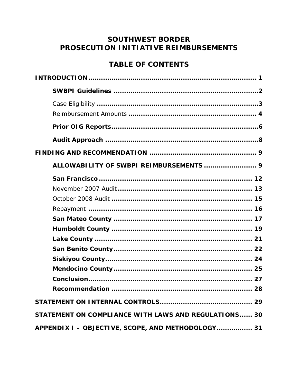# **SOUTHWEST BORDER** PROSECUTION INITIATIVE REIMBURSEMENTS

# **TABLE OF CONTENTS**

| 29                                                   |
|------------------------------------------------------|
| STATEMENT ON COMPLIANCE WITH LAWS AND REGULATIONS 30 |
| APPENDIX I - OBJECTIVE, SCOPE, AND METHODOLOGY 31    |
|                                                      |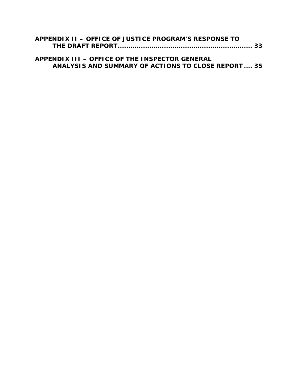| APPENDIX II – OFFICE OF JUSTICE PROGRAM'S RESPONSE TO |  |
|-------------------------------------------------------|--|
|                                                       |  |

#### **ANALYSIS AND SUMMARY OF ACTIONS TO CLOSE REPORT .... 35 APPENDIX III – OFFICE OF THE INSPECTOR GENERAL**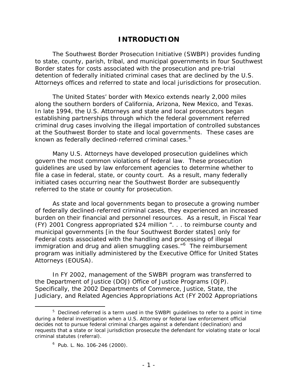# **INTRODUCTION**

The Southwest Border Prosecution Initiative (SWBPI) provides funding to state, county, parish, tribal, and municipal governments in four Southwest Border states for costs associated with the prosecution and pre-trial detention of federally initiated criminal cases that are declined by the U.S. Attorneys offices and referred to state and local jurisdictions for prosecution.

along the southern borders of California, Arizona, New Mexico, and Texas.<br>In late 1994, the U.S. Attorneys and state and local prosecutors began criminal drug cases involving the illegal importation of controlled substances at the Southwest Border to state and local governments. These cases are The United States' border with Mexico extends nearly 2,000 miles establishing partnerships through which the federal government referred known as federally declined-referred criminal cases.<sup>[5](#page-10-0)</sup>

 Many U.S. Attorneys have developed prosecution guidelines which file a case in federal, state, or county court. As a result, many federally govern the most common violations of federal law. These prosecution guidelines are used by law enforcement agencies to determine whether to initiated cases occurring near the Southwest Border are subsequently referred to the state or county for prosecution.

 burden on their financial and personnel resources. As a result, in Fiscal Year (FY) 2001 Congress appropriated \$24 million ". . . to reimburse county and immigration and drug and alien smuggling cases."<sup>6</sup> The reimbursement As state and local governments began to prosecute a growing number of federally declined-referred criminal cases, they experienced an increased municipal governments [in the four Southwest Border states] only for Federal costs associated with the handling and processing of illegal program was initially administered by the Executive Office for United States Attorneys (EOUSA).

 In FY 2002, management of the SWBPI program was transferred to the Department of Justice (DOJ) Office of Justice Programs (OJP). Specifically, the 2002 Departments of Commerce, Justice, State, the Judiciary, and Related Agencies Appropriations Act (FY 2002 Appropriations

 $\overline{a}$ 

<span id="page-10-1"></span><span id="page-10-0"></span> $5$  Declined-referred is a term used in the SWBPI guidelines to refer to a point in time during a federal investigation when a U.S. Attorney or federal law enforcement official decides not to pursue federal criminal charges against a defendant (declination) and requests that a state or local jurisdiction prosecute the defendant for violating state or local criminal statutes (referral).

 $6$  Pub. L. No. 106-246 (2000).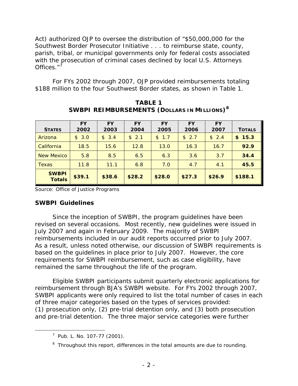Southwest Border Prosecutor Initiative . . . to reimburse state, county, Act) authorized OJP to oversee the distribution of "\$50,000,000 for the parish, tribal, or municipal governments only for federal costs associated with the prosecution of criminal cases declined by local U.S. Attorneys Offices."

 \$188 million to the four Southwest Border states, as shown in Table 1. For FYs 2002 through 2007, OJP provided reimbursements totaling

| <b>STATES</b>                 | <b>FY</b><br>2002 | <b>FY</b><br>2003   | <b>FY</b><br>2004 | <b>FY</b><br>2005 | <b>FY</b><br>2006 | <b>FY</b><br>2007 | <b>TOTALS</b> |
|-------------------------------|-------------------|---------------------|-------------------|-------------------|-------------------|-------------------|---------------|
| Arizona                       | 3.0<br>\$         | $\mathbb{S}$<br>3.4 | \$<br>2.1         | \$<br>1.7         | \$2.7             | \$2.4             | 15.3<br>\$    |
| California                    | 18.5              | 15.6                | 12.8              | 13.0              | 16.3              | 16.7              | 92.9          |
| <b>New Mexico</b>             | 5.8               | 8.5                 | 6.5               | 6.3               | 3.6               | 3.7               | 34.4          |
| <b>Texas</b>                  | 11.8              | 11.1                | 6.8               | 7.0               | 4.7               | 4.1               | 45.5          |
| <b>SWBPI</b><br><b>Totals</b> | \$39.1            | \$38.6              | \$28.2\$          | \$28.0            | \$27.3            | \$26.9            | \$188.1       |

**TABLE 1 SWBPI REIMBURSEMENTS (DOLLARS IN MILLIONS)[8](#page-11-0)** 

Source: Office of Justice Programs

#### **SWBPI Guidelines**

 July 2007 and again in February 2009. The majority of SWBPI reimbursements included in our audit reports occurred prior to July 2007. based on the guidelines in place prior to July 2007. However, the core requirements for SWBPI reimbursement, such as case eligibility, have Since the inception of SWBPI, the program guidelines have been revised on several occasions. Most recently, new guidelines were issued in As a result, unless noted otherwise, our discussion of SWBPI requirements is remained the same throughout the life of the program.

 reimbursement through BJA's SWBPI website. For FYs 2002 through 2007, of three major categories based on the types of services provided: Eligible SWBPI participants submit quarterly electronic applications for SWBPI applicants were only required to list the total number of cases in each (1) prosecution only, (2) pre-trial detention only, and (3) both prosecution and pre-trial detention. The three major service categories were further

<span id="page-11-0"></span>-

 $7$  Pub. L. No. 107-77 (2001).

 $8$  Throughout this report, differences in the total amounts are due to rounding.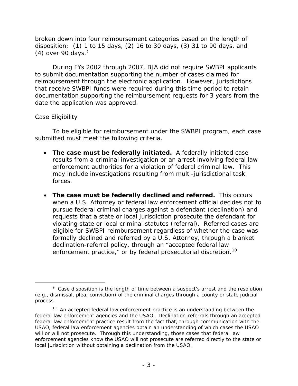disposition: (1) 1 to 15 days, (2) 16 to 30 days, (3) 31 to 90 days, and broken down into four reimbursement categories based on the length of (4) over [9](#page-12-0)0 days. $9^{\circ}$ 

 that receive SWBPI funds were required during this time period to retain During FYs 2002 through 2007, BJA did not require SWBPI applicants to submit documentation supporting the number of cases claimed for reimbursement through the electronic application. However, jurisdictions documentation supporting the reimbursement requests for 3 years from the date the application was approved.

# *Case Eligibility*

To be eligible for reimbursement under the SWBPI program, each case submitted must meet the following criteria.

- **The case must be federally initiated.** A federally initiated case results from a criminal investigation or an arrest involving federal law enforcement authorities for a violation of federal criminal law. This may include investigations resulting from multi-jurisdictional task forces.
- • **The case must be federally declined and referred.** This occurs when a U.S. Attorney or federal law enforcement official decides not to pursue federal criminal charges against a defendant (declination) and requests that a state or local jurisdiction prosecute the defendant for violating state or local criminal statutes (referral). Referred cases are eligible for SWBPI reimbursement regardless of whether the case was formally declined and referred by a U.S. Attorney, through a blanket declination-referral policy, through an "accepted federal law enforcement practice," or by federal prosecutorial discretion.<sup>10</sup>

<span id="page-12-0"></span><sup>-</sup> $9$  Case disposition is the length of time between a suspect's arrest and the resolution (e.g., dismissal, plea, conviction) of the criminal charges through a county or state judicial process.

<span id="page-12-1"></span> $10$  An accepted federal law enforcement practice is an understanding between the federal law enforcement agencies and the USAO. Declination-referrals through an accepted federal law enforcement practice result from the fact that, through communication with the USAO, federal law enforcement agencies obtain an understanding of which cases the USAO will or will not prosecute. Through this understanding, those cases that federal law enforcement agencies know the USAO will not prosecute are referred directly to the state or local jurisdiction without obtaining a declination from the USAO.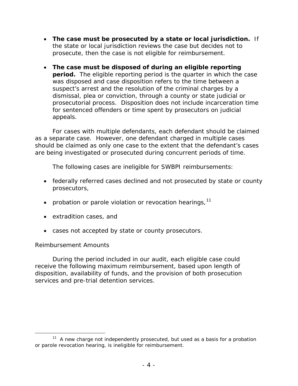- • **The case must be prosecuted by a state or local jurisdiction.** If the state or local jurisdiction reviews the case but decides not to prosecute, then the case is not eligible for reimbursement.
- **period.** The eligible reporting period is the quarter in which the case • **The case must be disposed of during an eligible reporting**  was disposed and case disposition refers to the time between a suspect's arrest and the resolution of the criminal charges by a dismissal, plea or conviction, through a county or state judicial or prosecutorial process. Disposition does not include incarceration time for sentenced offenders or time spent by prosecutors on judicial appeals.

For cases with multiple defendants, each defendant should be claimed as a separate case. However, one defendant charged in multiple cases should be claimed as only one case to the extent that the defendant's cases are being investigated or prosecuted during concurrent periods of time.

The following cases are ineligible for SWBPI reimbursements:

- federally referred cases declined and not prosecuted by state or county prosecutors,
- probation or parole violation or revocation hearings,  $11$
- extradition cases, and
- cases not accepted by state or county prosecutors.

# *Reimbursement Amounts*

 $\overline{a}$ 

During the period included in our audit, each eligible case could receive the following maximum reimbursement, based upon length of disposition, availability of funds, and the provision of both prosecution services and pre-trial detention services.

<span id="page-13-0"></span> $11$  A new charge not independently prosecuted, but used as a basis for a probation or parole revocation hearing, is ineligible for reimbursement.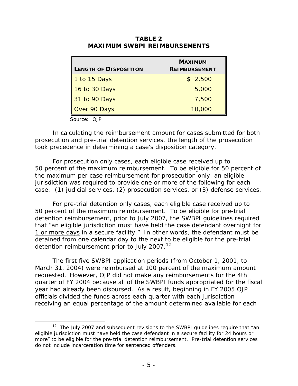| \$2,500 |
|---------|
| 5,000   |
| 7,500   |
| 10,000  |
|         |

**TABLE 2 MAXIMUM SWBPI REIMBURSEMENTS**

Source: OJP

-

In calculating the reimbursement amount for cases submitted for both prosecution and pre-trial detention services, the length of the prosecution took precedence in determining a case's disposition category.

 jurisdiction was required to provide one or more of the following for each For prosecution only cases, each eligible case received up to 50 percent of the maximum reimbursement. To be eligible for 50 percent of the maximum per case reimbursement for prosecution only, an eligible case: (1) judicial services, (2) prosecution services, or (3) defense services.

 50 percent of the maximum reimbursement. To be eligible for pre-trial 1 or more days in a secure facility." In other words, the defendant must be For pre-trial detention only cases, each eligible case received up to detention reimbursement, prior to July 2007, the SWBPI guidelines required that "an eligible jurisdiction must have held the case defendant overnight for detained from one calendar day to the next to be eligible for the pre-trial detention reimbursement prior to July 2007.<sup>[12](#page-14-0)</sup>

 year had already been disbursed. As a result, beginning in FY 2005 OJP The first five SWBPI application periods (from October 1, 2001, to March 31, 2004) were reimbursed at 100 percent of the maximum amount requested. However, OJP did not make any reimbursements for the 4th quarter of FY 2004 because all of the SWBPI funds appropriated for the fiscal officials divided the funds across each quarter with each jurisdiction receiving an equal percentage of the amount determined available for each

<span id="page-14-0"></span> $12$  The July 2007 and subsequent revisions to the SWBPI guidelines require that "an eligible jurisdiction must have held the case defendant in a secure facility for 24 hours or more" to be eligible for the pre-trial detention reimbursement. Pre-trial detention services do not include incarceration time for sentenced offenders.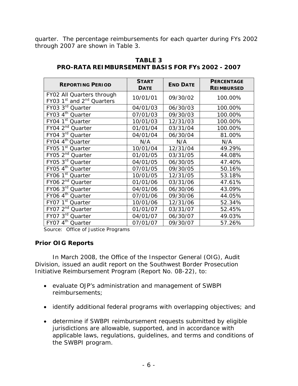quarter. The percentage reimbursements for each quarter during FYs 2002 through 2007 are shown in Table 3.

|                                                                                | <b>START</b> |                 | <b>PERCENTAGE</b> |
|--------------------------------------------------------------------------------|--------------|-----------------|-------------------|
| <b>REPORTING PERIOD</b>                                                        | <b>DATE</b>  | <b>END DATE</b> | <b>REIMBURSED</b> |
| FY02 All Quarters through<br>FY03 1 <sup>st</sup> and 2 <sup>nd</sup> Quarters | 10/01/01     | 09/30/02        | 100.00%           |
| FY03 3 <sup>rd</sup> Quarter                                                   |              |                 |                   |
|                                                                                | 04/01/03     | 06/30/03        | 100.00%           |
| FY03 4 <sup>th</sup> Quarter                                                   | 07/01/03     | 09/30/03        | 100.00%           |
| FY04 1 <sup>st</sup> Quarter                                                   | 10/01/03     | 12/31/03        | 100.00%           |
| FY04 2 <sup>nd</sup> Quarter                                                   | 01/01/04     | 03/31/04        | 100.00%           |
| FY04 3 <sup>rd</sup> Quarter                                                   | 04/01/04     | 06/30/04        | 81.00%            |
| FY04 4 <sup>th</sup> Quarter                                                   | N/A          | N/A             | N/A               |
| FY05 1 <sup>st</sup> Quarter                                                   | 10/01/04     | 12/31/04        | 49.29%            |
| FY05 2 <sup>nd</sup> Quarter                                                   | 01/01/05     | 03/31/05        | 44.08%            |
| FY05 3 <sup>rd</sup> Quarter                                                   | 04/01/05     | 06/30/05        | 47.40%            |
| FY05 4 <sup>th</sup> Quarter                                                   | 07/01/05     | 09/30/05        | 50.16%            |
| FY06 1 <sup>st</sup> Quarter                                                   | 10/01/05     | 12/31/05        | 53.18%            |
| FY06 2 <sup>nd</sup> Quarter                                                   | 01/01/06     | 03/31/06        | 47.61%            |
| FY06 3 <sup>rd</sup> Quarter                                                   | 04/01/06     | 06/30/06        | 43.09%            |
| FY06 4 <sup>th</sup> Quarter                                                   | 07/01/06     | 09/30/06        | 44.05%            |
| FY07 1 <sup>st</sup> Quarter                                                   | 10/01/06     | 12/31/06        | 52.34%            |
| FY07 2 <sup>nd</sup> Quarter                                                   | 01/01/07     | 03/31/07        | 52.45%            |
| FY07 3 <sup>rd</sup> Quarter                                                   | 04/01/07     | 06/30/07        | 49.03%            |
| FY07 4 <sup>th</sup> Quarter                                                   | 07/01/07     | 09/30/07        | 57.26%            |

 **PRO-RATA REIMBURSEMENT BASIS FOR FYS 2002 - 2007 TABLE 3**

Source: Office of Justice Programs

# **Prior OIG Reports**

In March 2008, the Office of the Inspector General (OIG), Audit Division, issued an audit report on the *Southwest Border Prosecution Initiative Reimbursement Program* (Report No. 08-22), to:

- • evaluate OJP's administration and management of SWBPI reimbursements;
- identify additional federal programs with overlapping objectives; and
- determine if SWBPI reimbursement requests submitted by eligible jurisdictions are allowable, supported, and in accordance with applicable laws, regulations, guidelines, and terms and conditions of the SWBPI program.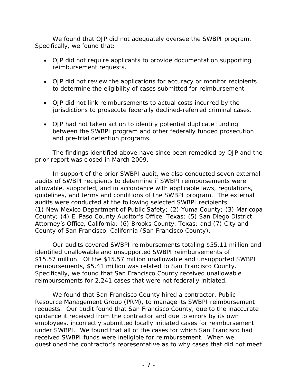We found that OJP did not adequately oversee the SWBPI program.<br>Specifically, we found that:

- OJP did not require applicants to provide documentation supporting reimbursement requests.
- OJP did not review the applications for accuracy or monitor recipients to determine the eligibility of cases submitted for reimbursement.
- OJP did not link reimbursements to actual costs incurred by the jurisdictions to prosecute federally declined-referred criminal cases.
- OJP had not taken action to identify potential duplicate funding between the SWBPI program and other federally funded prosecution and pre-trial detention programs.

The findings identified above have since been remedied by OJP and the prior report was closed in March 2009.

 (1) New Mexico Department of Public Safety; (2) Yuma County; (3) Maricopa County of San Francisco, California (San Francisco County). In support of the prior SWBPI audit, we also conducted seven external audits of SWBPI recipients to determine if SWBPI reimbursements were allowable, supported, and in accordance with applicable laws, regulations, guidelines, and terms and conditions of the SWBPI program. The external audits were conducted at the following selected SWBPI recipients: County; (4) El Paso County Auditor's Office, Texas; (5) San Diego District Attorney's Office, California; (6) Brooks County, Texas; and (7) City and

 reimbursements, \$5.41 million was related to San Francisco County. reimbursements for 2,241 cases that were not federally initiated. Our audits covered SWBPI reimbursements totaling \$55.11 million and identified unallowable and unsupported SWBPI reimbursements of \$15.57 million. Of the \$15.57 million unallowable and unsupported SWBPI Specifically, we found that San Francisco County received unallowable

 under SWBPI. We found that all of the cases for which San Francisco had received SWBPI funds were ineligible for reimbursement. When we questioned the contractor's representative as to why cases that did not meet We found that San Francisco County hired a contractor, Public Resource Management Group (PRM), to manage its SWBPI reimbursement requests. Our audit found that San Francisco County, due to the inaccurate guidance it received from the contractor and due to errors by its own employees, incorrectly submitted locally initiated cases for reimbursement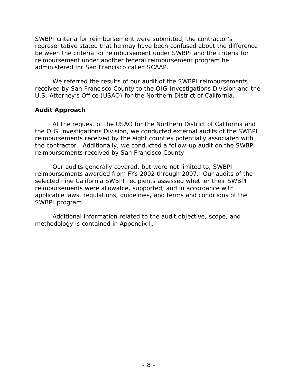representative stated that he may have been confused about the difference SWBPI criteria for reimbursement were submitted, the contractor's between the criteria for reimbursement under SWBPI and the criteria for reimbursement under another federal reimbursement program he administered for San Francisco called SCAAP.

We referred the results of our audit of the SWBPI reimbursements received by San Francisco County to the OIG Investigations Division and the U.S. Attorney's Office (USAO) for the Northern District of California.

# **Audit Approach**

 the contractor. Additionally, we conducted a follow-up audit on the SWBPI reimbursements received by San Francisco County. At the request of the USAO for the Northern District of California and the OIG Investigations Division, we conducted external audits of the SWBPI reimbursements received by the eight counties potentially associated with

reimbursements received by San Francisco County.<br>Our audits generally covered, but were not limited to, SWBPI reimbursements awarded from FYs 2002 through 2007. Our audits of the selected nine California SWBPI recipients assessed whether their SWBPI reimbursements were allowable, supported, and in accordance with applicable laws, regulations, guidelines, and terms and conditions of the SWBPI program.

Additional information related to the audit objective, scope, and methodology is contained in Appendix I.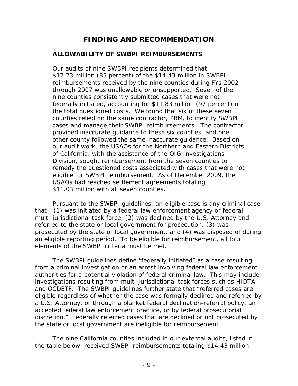# **FINDING AND RECOMMENDATION**

# **ALLOWABILITY OF SWBPI REIMBURSEMENTS**

 \$12.23 million (85 percent) of the \$14.43 million in SWBPI through 2007 was unallowable or unsupported. Seven of the the total questioned costs. We found that six of these seven cases and manage their SWBPI reimbursements. The contractor Division, sought reimbursement from the seven counties to eligible for SWBPI reimbursement. As of December 2009, the \$11.03 million with all seven counties. Our audits of nine SWBPI recipients determined that reimbursements received by the nine counties during FYs 2002 nine counties consistently submitted cases that were not federally initiated, accounting for \$11.83 million (97 percent) of counties relied on the same contractor, PRM, to identify SWBPI provided inaccurate guidance to these six counties, and one other county followed the same inaccurate guidance. Based on our audit work, the USAOs for the Northern and Eastern Districts of California, with the assistance of the OIG Investigations remedy the questioned costs associated with cases that were not USAOs had reached settlement agreements totaling

 an eligible reporting period. To be eligible for reimbursement, all four Pursuant to the SWBPI guidelines, an eligible case is any criminal case that: (1) was initiated by a federal law enforcement agency or federal multi-jurisdictional task force, (2) was declined by the U.S. Attorney and referred to the state or local government for prosecution, (3) was prosecuted by the state or local government, and (4) was disposed of during elements of the SWBPI criteria must be met.

 The SWBPI guidelines define "federally initiated" as a case resulting authorities for a potential violation of federal criminal law. This may include investigations resulting from multi-jurisdictional task forces such as HIDTA and OCDETF. The SWBPI guidelines further state that "referred cases are from a criminal investigation or an arrest involving federal law enforcement eligible regardless of whether the case was formally declined and referred by a U.S. Attorney, or through a blanket federal declination-referral policy, an accepted federal law enforcement practice, or by federal prosecutorial discretion." Federally referred cases that are declined or not prosecuted by the state or local government are ineligible for reimbursement.

 The nine California counties included in our external audits, listed in the table below, received SWBPI reimbursements totaling \$14.43 million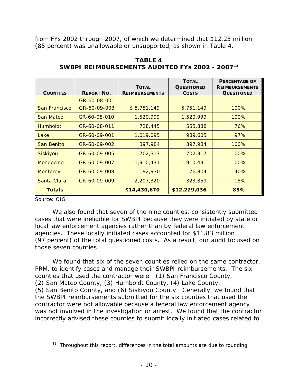from FYs 2002 through 2007, of which we determined that \$12.23 million (85 percent) was unallowable or unsupported, as shown in Table 4.

|                  |                   |                                       | <b>TOTAL</b>                      | <b>PERCENTAGE OF</b>                       |
|------------------|-------------------|---------------------------------------|-----------------------------------|--------------------------------------------|
| <b>COUNTIES</b>  | <b>REPORT NO.</b> | <b>TOTAL</b><br><b>REIMBURSEMENTS</b> | <b>QUESTIONED</b><br><b>COSTS</b> | <b>REIMBURSEMENTS</b><br><b>QUESTIONED</b> |
|                  | GR-60-08-001      |                                       |                                   |                                            |
| San Francisco    | GR-60-09-003      | \$5,751,149                           | 5,751,149                         | 100%                                       |
| San Mateo        | GR-60-08-010      | 1,520,999                             | 1,520,999                         | 100%                                       |
| Humboldt         | GR-60-08-011      | 728,445                               | 555,888                           | 76%                                        |
| Lake             | GR-60-09-001      | 1,019,095                             | 989,605                           | 97%                                        |
| San Benito       | GR-60-09-002      | 397,984                               | 397,984                           | 100%                                       |
| Siskiyou         | GR-60-09-005      | 702,317                               | 702,317                           | 100%                                       |
| <b>Mendocino</b> | GR-60-09-007      | 1,910,431                             | 1,910,431                         | 100%                                       |
| <b>Monterey</b>  | GR-60-09-008      | 192,930                               | 76,804                            | 40%                                        |
| Santa Clara      | GR-60-09-009      | 2,207,320                             | 323,859                           | 15%                                        |
| <b>Totals</b>    |                   | \$14,430,670                          | \$12,229,036                      | 85%                                        |

**TABLE 4 SWBPI REIMBURSEMENTS AUDITED FYs 2002 - 2007[13](#page-19-0)**

Source: OIG

<span id="page-19-0"></span> $\overline{a}$ 

We also found that seven of the nine counties, consistently submitted cases that were ineligible for SWBPI because they were initiated by state or local law enforcement agencies rather than by federal law enforcement agencies. These locally initiated cases accounted for \$11.83 million (97 percent) of the total questioned costs. As a result, our audit focused on those seven counties.

 counties that used the contractor were: (1) San Francisco County, (2) San Mateo County, (3) Humboldt County, (4) Lake County, (5) San Benito County, and (6) Siskiyou County. Generally, we found that the SWBPI reimbursements submitted for the six counties that used the We found that six of the seven counties relied on the same contractor, PRM, to identify cases and manage their SWBPI reimbursements. The six contractor were not allowable because a federal law enforcement agency was not involved in the investigation or arrest. We found that the contractor incorrectly advised these counties to submit locally initiated cases related to

<sup>&</sup>lt;sup>13</sup> Throughout this report, differences in the total amounts are due to rounding.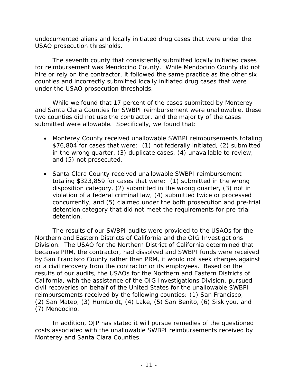undocumented aliens and locally initiated drug cases that were under the USAO prosecution thresholds.

The seventh county that consistently submitted locally initiated cases for reimbursement was Mendocino County. While Mendocino County did not hire or rely on the contractor, it followed the same practice as the other six counties and incorrectly submitted locally initiated drug cases that were under the USAO prosecution thresholds.

 submitted were allowable. Specifically, we found that: While we found that 17 percent of the cases submitted by Monterey and Santa Clara Counties for SWBPI reimbursement were unallowable, these two counties did not use the contractor, and the majority of the cases

- Monterey County received unallowable SWBPI reimbursements totaling \$76,804 for cases that were: (1) not federally initiated, (2) submitted in the wrong quarter, (3) duplicate cases, (4) unavailable to review, and (5) not prosecuted.
- violation of a federal criminal law, (4) submitted twice or processed • Santa Clara County received unallowable SWBPI reimbursement totaling \$323,859 for cases that were: (1) submitted in the wrong disposition category, (2) submitted in the wrong quarter, (3) not in concurrently, and (5) claimed under the both prosecution and pre-trial detention category that did not meet the requirements for pre-trial detention.

 (2) San Mateo, (3) Humboldt, (4) Lake, (5) San Benito, (6) Siskiyou, and The results of our SWBPI audits were provided to the USAOs for the Northern and Eastern Districts of California and the OIG Investigations Division. The USAO for the Northern District of California determined that because PRM, the contractor, had dissolved and SWBPI funds were received by San Francisco County rather than PRM, it would not seek charges against or a civil recovery from the contractor or its employees. Based on the results of our audits, the USAOs for the Northern and Eastern Districts of California, with the assistance of the OIG Investigations Division, pursued civil recoveries on behalf of the United States for the unallowable SWBPI reimbursements received by the following counties: (1) San Francisco, (7) Mendocino.

In addition, OJP has stated it will pursue remedies of the questioned costs associated with the unallowable SWBPI reimbursements received by Monterey and Santa Clara Counties.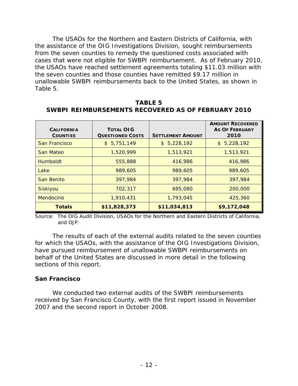cases that were not eligible for SWBPI reimbursement. As of February 2010, The USAOs for the Northern and Eastern Districts of California, with the assistance of the OIG Investigations Division, sought reimbursements from the seven counties to remedy the questioned costs associated with the USAOs have reached settlement agreements totaling \$11.03 million with the seven counties and those counties have remitted \$9.17 million in unallowable SWBPI reimbursements back to the United States, as shown in Table 5.

| <b>CALIFORNIA</b><br><b>COUNTIES</b> | <b>TOTAL OIG</b><br><b>QUESTIONED COSTS</b> | <b>SETTLEMENT AMOUNT</b> | <b>AMOUNT RECOVERED</b><br><b>AS OF FEBRUARY</b><br>2010 |
|--------------------------------------|---------------------------------------------|--------------------------|----------------------------------------------------------|
| San Francisco                        | \$5,751,149                                 | \$5,228,192              | \$5,228,192                                              |
| San Mateo                            | 1,520,999                                   | 1,513,921                | 1,513,921                                                |
| <b>Humboldt</b>                      | 555,888                                     | 416,986                  | 416,986                                                  |
| Lake                                 | 989,605                                     | 989,605                  | 989,605                                                  |
| San Benito                           | 397,984                                     | 397,984                  | 397,984                                                  |
| Siskiyou                             | 702.317                                     | 695,080                  | 200,000                                                  |
| <b>Mendocino</b>                     | 1,910,431                                   | 1,793,045                | 425,360                                                  |
| <b>Totals</b>                        | \$11,828,373                                | \$11,034,813             | \$9,172,048                                              |

**TABLE 5 SWBPI REIMBURSEMENTS RECOVERED AS OF FEBRUARY 2010**

Source: The OIG Audit Division, USAOs for the Northern and Eastern Districts of California, and OJP.

 The results of each of the external audits related to the seven counties for which the USAOs, with the assistance of the OIG Investigations Division, have pursued reimbursement of unallowable SWBPI reimbursements on behalf of the United States are discussed in more detail in the following sections of this report.

#### **San Francisco**

We conducted two external audits of the SWBPI reimbursements received by San Francisco County, with the first report issued in November 2007 and the second report in October 2008.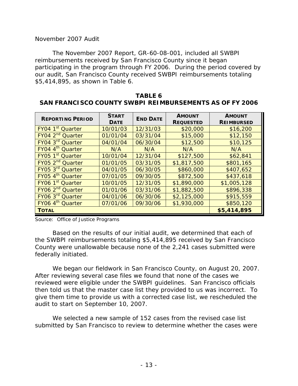## *November 2007 Audit*

 participating in the program through FY 2006. During the period covered by The November 2007 Report, GR-60-08-001, included all SWBPI reimbursements received by San Francisco County since it began our audit, San Francisco County received SWBPI reimbursements totaling \$5,414,895, as shown in Table 6.

| <b>REPORTING PERIOD</b>      | <b>START</b><br><b>DATE</b> | <b>END DATE</b> | <b>AMOUNT</b><br><b>REQUESTED</b> | <b>AMOUNT</b><br><b>REIMBURSED</b> |
|------------------------------|-----------------------------|-----------------|-----------------------------------|------------------------------------|
| FY04 1 <sup>st</sup> Quarter | 10/01/03                    | 12/31/03        | \$20,000                          | \$16,200                           |
| FY04 2 <sup>nd</sup> Quarter | 01/01/04                    | 03/31/04        | \$15,000                          | \$12,150                           |
| FY04 3rd Quarter             | 04/01/04                    | 06/30/04        | \$12,500                          | \$10,125                           |
| FY04 4 <sup>th</sup> Quarter | N/A                         | N/A             | N/A                               | N/A                                |
| FY05 1 <sup>st</sup> Quarter | 10/01/04                    | 12/31/04        | \$127,500                         | \$62,841                           |
| FY05 2 <sup>nd</sup> Quarter | 01/01/05                    | 03/31/05        | \$1,817,500                       | \$801,165                          |
| FY05 3 <sup>rd</sup> Quarter | 04/01/05                    | 06/30/05        | \$860,000                         | \$407,652                          |
| FY05 4 <sup>th</sup> Quarter | 07/01/05                    | 09/30/05        | \$872,500                         | \$437,618                          |
| FY06 1 <sup>st</sup> Quarter | 10/01/05                    | 12/31/05        | \$1,890,000                       | \$1,005,128                        |
| FY06 2 <sup>nd</sup> Quarter | 01/01/06                    | 03/31/06        | \$1,882,500                       | \$896,338                          |
| FY06 3 <sup>rd</sup> Quarter | 04/01/06                    | 06/30/06        | \$2,125,000                       | \$915,559                          |
| FY06 4 <sup>th</sup> Quarter | 07/01/06                    | 09/30/06        | \$1,930,000                       | \$850,120                          |
| <b>TOTAL</b>                 |                             |                 |                                   | \$5,414,895                        |

## **SAN FRANCISCO COUNTY SWBPI REIMBURSEMENTS AS OF FY 2006 TABLE 6**

Source: Office of Justice Programs

 the SWBPI reimbursements totaling \$5,414,895 received by San Francisco Based on the results of our initial audit, we determined that each of County were unallowable because none of the 2,241 cases submitted were federally initiated.

 then told us that the master case list they provided to us was incorrect. To give them time to provide us with a corrected case list, we rescheduled the audit to start on September 10, 2007. We began our fieldwork in San Francisco County, on August 20, 2007. After reviewing several case files we found that none of the cases we reviewed were eligible under the SWBPI guidelines. San Francisco officials

We selected a new sample of 152 cases from the revised case list submitted by San Francisco to review to determine whether the cases were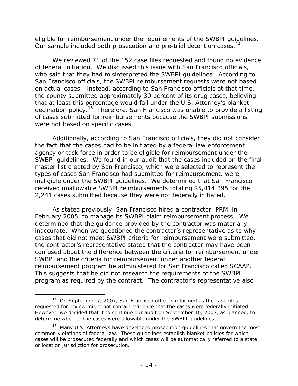eligible for reimbursement under the requirements of the SWBPI guidelines. eligible for reimbursement under the requirements of the SWBPI gu[ide](#page-23-0)lines.<br>Our sample included both prosecution and pre-trial detention cases.<sup>14</sup>

 of federal initiation. We discussed this issue with San Francisco officials, who said that they had misinterpreted the SWBPI guidelines. According to declination policy.<sup>[15](#page-23-1)</sup> Therefore, San Francisco was unable to provide a listing were not based on specific cases. We reviewed 71 of the 152 case files requested and found no evidence San Francisco officials, the SWBPI reimbursement requests were not based on actual cases. Instead, according to San Francisco officials at that time, the county submitted approximately 30 percent of its drug cases, believing that at least this percentage would fall under the U.S. Attorney's blanket of cases submitted for reimbursements because the SWBPI submissions

 ineligible under the SWBPI guidelines. We determined that San Francisco Additionally, according to San Francisco officials, they did not consider the fact that the cases had to be initiated by a federal law enforcement agency or task force in order to be eligible for reimbursement under the SWBPI guidelines. We found in our audit that the cases included on the final master list created by San Francisco, which were selected to represent the types of cases San Francisco had submitted for reimbursement, were received unallowable SWBPI reimbursements totaling \$5,414,895 for the 2,241 cases submitted because they were not federally initiated.

 February 2005, to manage its SWBPI claim reimbursement process. We program as required by the contract. The contractor's representative also As stated previously, San Francisco hired a contractor, PRM, in determined that the guidance provided by the contractor was materially inaccurate. When we questioned the contractor's representative as to why cases that did not meet SWBPI criteria for reimbursement were submitted, the contractor's representative stated that the contractor may have been confused about the difference between the criteria for reimbursement under SWBPI and the criteria for reimbursement under another federal reimbursement program he administered for San Francisco called SCAAP. This suggests that he did not research the requirements of the SWBPI

 $\overline{a}$ 

<span id="page-23-0"></span> $14$  On September 7, 2007, San Francisco officials informed us the case files requested for review might not contain evidence that the cases were federally initiated. However, we decided that it to continue our audit on September 10, 2007, as planned, to determine whether the cases were allowable under the SWBPI guidelines.

<span id="page-23-1"></span> $15$  Many U.S. Attorneys have developed prosecution guidelines that govern the most common violations of federal law. These guidelines establish blanket policies for which cases will be prosecuted federally and which cases will be automatically referred to a state or location jurisdiction for prosecution.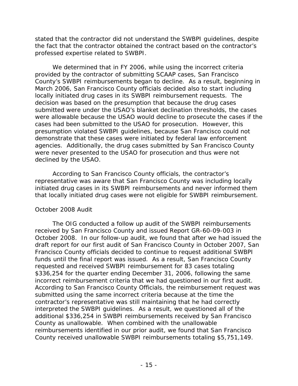stated that the contractor did not understand the SWBPI guidelines, despite the fact that the contractor obtained the contract based on the contractor's professed expertise related to SWBPI.

 County's SWBPI reimbursements began to decline. As a result, beginning in locally initiated drug cases in its SWBPI reimbursement requests. The submitted were under the USAO's blanket declination thresholds, the cases were allowable because the USAO would decline to prosecute the cases if the demonstrate that these cases were initiated by federal law enforcement declined by the USAO. We determined that in FY 2006, while using the incorrect criteria provided by the contractor of submitting SCAAP cases, San Francisco March 2006, San Francisco County officials decided also to start including decision was based on the presumption that because the drug cases cases had been submitted to the USAO for prosecution. However, this presumption violated SWBPI guidelines, because San Francisco could not agencies. Additionally, the drug cases submitted by San Francisco County were never presented to the USAO for prosecution and thus were not

According to San Francisco County officials, the contractor's representative was aware that San Francisco County was including locally initiated drug cases in its SWBPI reimbursements and never informed them that locally initiated drug cases were not eligible for SWBPI reimbursement.

# *October 2008 Audit*

 submitted using the same incorrect criteria because at the time the The OIG conducted a follow up audit of the SWBPI reimbursements received by San Francisco County and issued Report GR-60-09-003 in October 2008. In our follow-up audit, we found that after we had issued the draft report for our first audit of San Francisco County in October 2007, San Francisco County officials decided to continue to request additional SWBPI funds until the final report was issued. As a result, San Francisco County requested and received SWBPI reimbursement for 83 cases totaling \$336,254 for the quarter ending December 31, 2006, following the same incorrect reimbursement criteria that we had questioned in our first audit. According to San Francisco County Officials, the reimbursement request was contractor's representative was still maintaining that he had correctly interpreted the SWBPI guidelines. As a result, we questioned all of the additional \$336,254 in SWBPI reimbursements received by San Francisco County as unallowable. When combined with the unallowable reimbursements identified in our prior audit, we found that San Francisco County received unallowable SWBPI reimbursements totaling \$5,751,149.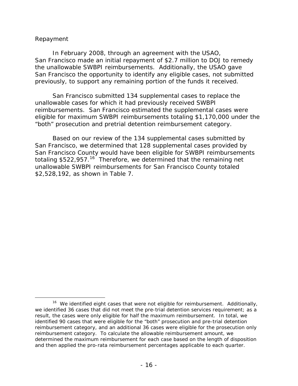## *Repayment*

 $\overline{a}$ 

 previously, to support any remaining portion of the funds it received. In February 2008, through an agreement with the USAO, San Francisco made an initial repayment of \$2.7 million to DOJ to remedy the unallowable SWBPI reimbursements. Additionally, the USAO gave San Francisco the opportunity to identify any eligible cases, not submitted

 reimbursements. San Francisco estimated the supplemental cases were "both" prosecution and pretrial detention reimbursement category. San Francisco submitted 134 supplemental cases to replace the unallowable cases for which it had previously received SWBPI eligible for maximum SWBPI reimbursements totaling \$1,170,000 under the

totaling \$522,957.<sup>16</sup> Therefore, we determined that the remaining net Based on our review of the 134 supplemental cases submitted by. San Francisco, we determined that 128 supplemental cases provided by San Francisco County would have been eligible for SWBPI reimbursements unallowable SWBPI reimbursements for San Francisco County totaled \$2,528,192, as shown in Table 7.

<span id="page-25-0"></span><sup>&</sup>lt;sup>16</sup> We identified eight cases that were not eligible for reimbursement. Additionally, we identified 36 cases that did not meet the pre-trial detention services requirement; as a result, the cases were only eligible for half the maximum reimbursement. In total, we identified 90 cases that were eligible for the "both" prosecution and pre-trial detention reimbursement category, and an additional 36 cases were eligible for the prosecution only reimbursement category. To calculate the allowable reimbursement amount, we determined the maximum reimbursement for each case based on the length of disposition and then applied the pro-rata reimbursement percentages applicable to each quarter.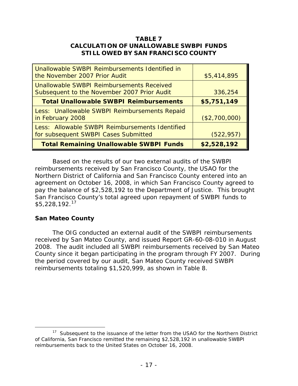# **CALCULATION OF UNALLOWABLE SWBPI FUNDS STILL OWED BY SAN FRANCISCO COUNTY TABLE 7**

| Unallowable SWBPI Reimbursements Identified in<br>the November 2007 Prior Audit          | \$5,414,895   |
|------------------------------------------------------------------------------------------|---------------|
| Unallowable SWBPI Reimbursements Received<br>Subsequent to the November 2007 Prior Audit | 336,254       |
| <b>Total Unallowable SWBPI Reimbursements</b>                                            | \$5,751,149   |
| Less: Unallowable SWBPI Reimbursements Repaid<br>in February 2008                        | (\$2,700,000) |
| Less: Allowable SWBPI Reimbursements Identified<br>for subsequent SWBPI Cases Submitted  | (522, 957)    |
| <b>Total Remaining Unallowable SWBPI Funds</b>                                           | \$2,528,192   |

 Northern District of California and San Francisco County entered into an Based on the results of our two external audits of the SWBPI reimbursements received by San Francisco County, the USAO for the agreement on October 16, 2008, in which San Francisco County agreed to pay the balance of \$2,528,192 to the Department of Justice. This brought San Francisco County's total agreed upon repayment of SWBPI funds to \$5,228,192. [17](#page-26-0) 

# **San Mateo County**

 $\overline{a}$ 

The OIG conducted an external audit of the SWBPI reimbursements received by San Mateo County, and issued Report GR-60-08-010 in August 2008. The audit included all SWBPI reimbursements received by San Mateo County since it began participating in the program through FY 2007. During the period covered by our audit, San Mateo County received SWBPI reimbursements totaling \$1,520,999, as shown in Table 8.

<span id="page-26-0"></span> $17$  Subsequent to the issuance of the letter from the USAO for the Northern District of California, San Francisco remitted the remaining \$2,528,192 in unallowable SWBPI reimbursements back to the United States on October 16, 2008.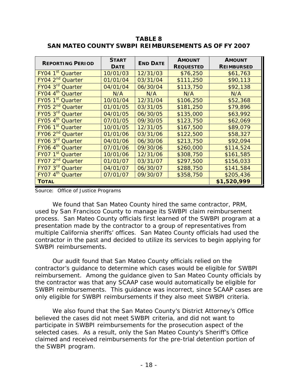| <b>REPORTING PERIOD</b>      | <b>START</b> | <b>END DATE</b><br><b>DATE</b> | <b>AMOUNT</b>    | <b>AMOUNT</b>     |
|------------------------------|--------------|--------------------------------|------------------|-------------------|
|                              |              |                                | <b>REQUESTED</b> | <b>REIMBURSED</b> |
| FY04 1 <sup>st</sup> Quarter | 10/01/03     | 12/31/03                       | \$76,250         | \$61,763          |
| $FYO42^{nd}$<br>Quarter      | 01/01/04     | 03/31/04                       | \$111,250        | \$90,113          |
| FY04 3rd Quarter             | 04/01/04     | 06/30/04                       | \$113,750        | \$92,138          |
| FY04 4 <sup>th</sup> Quarter | N/A          | N/A                            | N/A              | N/A               |
| FY05 1 <sup>st</sup> Quarter | 10/01/04     | 12/31/04                       | \$106,250        | \$52,368          |
| FY05 2 <sup>nd</sup> Quarter | 01/01/05     | 03/31/05                       | \$181,250        | \$79,896          |
| FY05 3rd Quarter             | 04/01/05     | 06/30/05                       | \$135,000        | \$63,992          |
| FY05 4 <sup>th</sup> Quarter | 07/01/05     | 09/30/05                       | \$123,750        | \$62,069          |
| FY06 1 <sup>st</sup> Quarter | 10/01/05     | 12/31/05                       | \$167,500        | \$89,079          |
| FY06 2 <sup>nd</sup> Quarter | 01/01/06     | 03/31/06                       | \$122,500        | \$58,327          |
| FY06 3rd Quarter             | 04/01/06     | 06/30/06                       | \$213,750        | \$92,094          |
| FY06 4 <sup>th</sup> Quarter | 07/01/06     | 09/30/06                       | \$260,000        | \$114,524         |
| FY07 1 <sup>st</sup> Quarter | 10/01/06     | 12/31/06                       | \$308,750        | \$161,585         |
| FY07 2 <sup>nd</sup> Quarter | 01/01/07     | 03/31/07                       | \$297,500        | \$156,033         |
| FY07 3rd Quarter             | 04/01/07     | 06/30/07                       | \$288,750        | \$141,584         |
| FY07 4 <sup>th</sup> Quarter | 07/01/07     | 09/30/07                       | \$358,750        | \$205,436         |
| <b>TOTAL</b>                 |              |                                |                  | \$1,520,999       |

 **SAN MATEO COUNTY SWBPI REIMBURSEMENTS AS OF FY 2007 TABLE 8**

Source: Office of Justice Programs

We found that San Mateo County hired the same contractor, PRM, used by San Francisco County to manage its SWBPI claim reimbursement process. San Mateo County officials first learned of the SWBPI program at a presentation made by the contractor to a group of representatives from multiple California sheriffs' offices. San Mateo County officials had used the contractor in the past and decided to utilize its services to begin applying for SWBPI reimbursements.

 Our audit found that San Mateo County officials relied on the reimbursement. Among the guidance given to San Mateo County officials by SWBPI reimbursements. This guidance was incorrect, since SCAAP cases are contractor's guidance to determine which cases would be eligible for SWBPI the contractor was that any SCAAP case would automatically be eligible for only eligible for SWBPI reimbursements if they also meet SWBPI criteria.

 claimed and received reimbursements for the pre-trial detention portion of We also found that the San Mateo County's District Attorney's Office believed the cases did not meet SWBPI criteria, and did not want to participate in SWBPI reimbursements for the prosecution aspect of the selected cases. As a result, only the San Mateo County's Sheriff's Office the SWBPI program.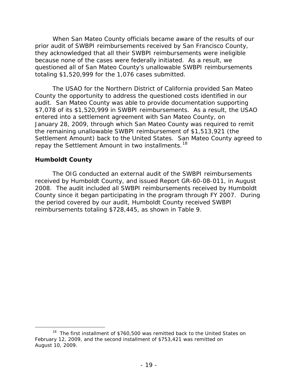When San Mateo County officials became aware of the results of our prior audit of SWBPI reimbursements received by San Francisco County, they acknowledged that all their SWBPI reimbursements were ineligible because none of the cases were federally initiated. As a result, we questioned all of San Mateo County's unallowable SWBPI reimbursements totaling \$1,520,999 for the 1,076 cases submitted.

 audit. San Mateo County was able to provide documentation supporting January 28, 2009, through which San Mateo County was required to remit The USAO for the Northern District of California provided San Mateo County the opportunity to address the questioned costs identified in our \$7,078 of its \$1,520,999 in SWBPI reimbursements. As a result, the USAO entered into a settlement agreement with San Mateo County, on the remaining unallowable SWBPI reimbursement of \$1,513,921 (the Settlement Amount) back to the United States. San Mateo County agreed to repay the Settlement Amount in two installments.<sup>[18](#page-28-0)</sup>

#### **Humboldt County**

-

The OIG conducted an external audit of the SWBPI reimbursements received by Humboldt County, and issued Report GR-60-08-011, in August 2008. The audit included all SWBPI reimbursements received by Humboldt County since it began participating in the program through FY 2007. During the period covered by our audit, Humboldt County received SWBPI reimbursements totaling \$728,445, as shown in Table 9.

<span id="page-28-0"></span><sup>&</sup>lt;sup>18</sup> The first installment of \$760,500 was remitted back to the United States on February 12, 2009, and the second installment of \$753,421 was remitted on August 10, 2009.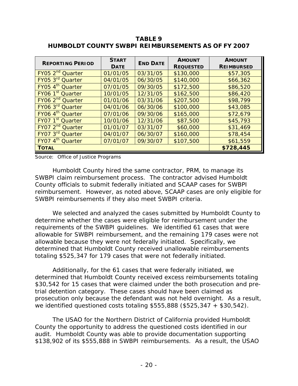| <b>REPORTING PERIOD</b>      | <b>START</b> | <b>END DATE</b><br><b>DATE</b> | <b>AMOUNT</b>    | <b>AMOUNT</b>     |
|------------------------------|--------------|--------------------------------|------------------|-------------------|
|                              |              |                                | <b>REQUESTED</b> | <b>REIMBURSED</b> |
| FY05 2 <sup>nd</sup> Quarter | 01/01/05     | 03/31/05                       | \$130,000        | \$57,305          |
| FY05 3 <sup>rd</sup> Quarter | 04/01/05     | 06/30/05                       | \$140,000        | \$66,362          |
| FY05 4 <sup>th</sup> Quarter | 07/01/05     | 09/30/05                       | \$172,500        | \$86,520          |
| FY06 1 <sup>st</sup> Quarter | 10/01/05     | 12/31/05                       | \$162,500        | \$86,420          |
| FY06 2 <sup>nd</sup> Quarter | 01/01/06     | 03/31/06                       | \$207,500        | \$98,799          |
| FY06 3 <sup>rd</sup> Quarter | 04/01/06     | 06/30/06                       | \$100,000        | \$43,085          |
| FY06 4 <sup>th</sup> Quarter | 07/01/06     | 09/30/06                       | \$165,000        | \$72,679          |
| FY07 1 <sup>st</sup> Quarter | 10/01/06     | 12/31/06                       | \$87,500         | \$45,793          |
| FY07 2 <sup>nd</sup> Quarter | 01/01/07     | 03/31/07                       | \$60,000         | \$31,469          |
| FY07 3rd Quarter             | 04/01/07     | 06/30/07                       | \$160,000        | \$78,454          |
| FY07 4 <sup>th</sup> Quarter | 07/01/07     | 09/30/07                       | \$107,500        | \$61,559          |
| <b>TOTAL</b>                 |              |                                |                  | \$728,445         |

 **HUMBOLDT COUNTY SWBPI REIMBURSEMENTS AS OF FY 2007 TABLE 9**

Source: Office of Justice Programs

 SWBPI claim reimbursement process. The contractor advised Humboldt Humboldt County hired the same contractor, PRM, to manage its County officials to submit federally initiated and SCAAP cases for SWBPI reimbursement. However, as noted above, SCAAP cases are only eligible for SWBPI reimbursements if they also meet SWBPI criteria.

 requirements of the SWBPI guidelines. We identified 61 cases that were totaling \$525,347 for 179 cases that were not federally initiated. We selected and analyzed the cases submitted by Humboldt County to determine whether the cases were eligible for reimbursement under the allowable for SWBPI reimbursement, and the remaining 179 cases were not allowable because they were not federally initiated. Specifically, we determined that Humboldt County received unallowable reimbursements

 prosecution only because the defendant was not held overnight. As a result, we identified questioned costs totaling \$555,888 (\$525,347 + \$30,542). Additionally, for the 61 cases that were federally initiated, we determined that Humboldt County received excess reimbursements totaling \$30,542 for 15 cases that were claimed under the both prosecution and pretrial detention category. These cases should have been claimed as

 audit. Humboldt County was able to provide documentation supporting The USAO for the Northern District of California provided Humboldt County the opportunity to address the questioned costs identified in our \$138,902 of its \$555,888 in SWBPI reimbursements. As a result, the USAO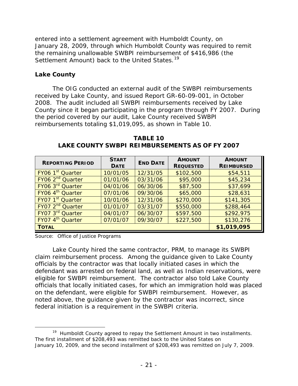January 28, 2009, through which Humboldt County was required to remit entered into a settlement agreement with Humboldt County, on the remaining unallowable SWBPI reimbursement of \$416,986 (the Settlement Amount) back to the United States.<sup>[19](#page-30-0)</sup>

# **Lake County**

The OIG conducted an external audit of the SWBPI reimbursements received by Lake County, and issued Report GR-60-09-001, in October 2008. The audit included all SWBPI reimbursements received by Lake County since it began participating in the program through FY 2007. During the period covered by our audit, Lake County received SWBPI reimbursements totaling \$1,019,095, as shown in Table 10.

| <b>REPORTING PERIOD</b>      | <b>START</b><br><b>DATE</b> | <b>END DATE</b> | <b>AMOUNT</b><br><b>REQUESTED</b> | <b>AMOUNT</b><br><b>REIMBURSED</b> |
|------------------------------|-----------------------------|-----------------|-----------------------------------|------------------------------------|
| FY06 1 <sup>st</sup> Quarter | 10/01/05                    | 12/31/05        | \$102,500                         | \$54,511                           |
| FY06 2 <sup>nd</sup> Quarter | 01/01/06                    | 03/31/06        | \$95,000                          | \$45,234                           |
| FY06 3 <sup>rd</sup> Quarter | 04/01/06                    | 06/30/06        | \$87,500                          | \$37,699                           |
| FY06 4 <sup>th</sup> Quarter | 07/01/06                    | 09/30/06        | \$65,000                          | \$28,631                           |
| FY07 1 <sup>st</sup> Quarter | 10/01/06                    | 12/31/06        | \$270,000                         | \$141,305                          |
| FY07 2 <sup>nd</sup> Quarter | 01/01/07                    | 03/31/07        | \$550,000                         | \$288,464                          |
| FY07 3 <sup>rd</sup> Quarter | 04/01/07                    | 06/30/07        | \$597,500                         | \$292,975                          |
| FY07 4 <sup>th</sup> Quarter | 07/01/07                    | 09/30/07        | \$227,500                         | \$130,276                          |
| <b>TOTAL</b>                 |                             |                 |                                   | \$1,019,095                        |

 **LAKE COUNTY SWBPI REIMBURSEMENTS AS OF FY 2007 TABLE 10**

Source: Office of Justice Programs

-

 claim reimbursement process. Among the guidance given to Lake County officials by the contractor was that locally initiated cases in which the officials that locally initiated cases, for which an immigration hold was placed on the defendant, were eligible for SWBPI reimbursement. However, as Lake County hired the same contractor, PRM, to manage its SWBPI defendant was arrested on federal land, as well as Indian reservations, were eligible for SWBPI reimbursement. The contractor also told Lake County noted above, the guidance given by the contractor was incorrect, since federal initiation is a requirement in the SWBPI criteria.

<span id="page-30-0"></span><sup>&</sup>lt;sup>19</sup> Humboldt County agreed to repay the Settlement Amount in two installments. The first installment of \$208,493 was remitted back to the United States on January 10, 2009, and the second installment of \$208,493 was remitted on July 7, 2009.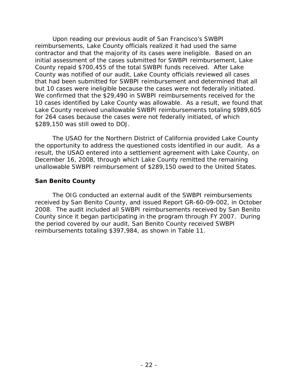County repaid \$700,455 of the total SWBPI funds received. After Lake but 10 cases were ineligible because the cases were not federally initiated. for 264 cases because the cases were not federally initiated, of which Upon reading our previous audit of San Francisco's SWBPI reimbursements, Lake County officials realized it had used the same contractor and that the majority of its cases were ineligible. Based on an initial assessment of the cases submitted for SWBPI reimbursement, Lake County was notified of our audit, Lake County officials reviewed all cases that had been submitted for SWBPI reimbursement and determined that all We confirmed that the \$29,490 in SWBPI reimbursements received for the 10 cases identified by Lake County was allowable. As a result, we found that Lake County received unallowable SWBPI reimbursements totaling \$989,605 \$289,150 was still owed to DOJ.

 unallowable SWBPI reimbursement of \$289,150 owed to the United States. The USAO for the Northern District of California provided Lake County the opportunity to address the questioned costs identified in our audit. As a result, the USAO entered into a settlement agreement with Lake County, on December 16, 2008, through which Lake County remitted the remaining

# **San Benito County**

The OIG conducted an external audit of the SWBPI reimbursements received by San Benito County, and issued Report GR-60-09-002, in October 2008. The audit included all SWBPI reimbursements received by San Benito County since it began participating in the program through FY 2007. During the period covered by our audit, San Benito County received SWBPI reimbursements totaling \$397,984, as shown in Table 11.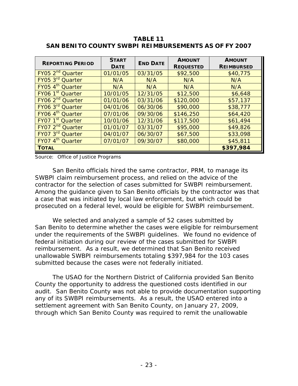| <b>REPORTING PERIOD</b>      | <b>START</b> | <b>END DATE</b> | <b>AMOUNT</b>    | <b>AMOUNT</b>     |
|------------------------------|--------------|-----------------|------------------|-------------------|
|                              | <b>DATE</b>  |                 | <b>REQUESTED</b> | <b>REIMBURSED</b> |
| FY05 2 <sup>nd</sup> Quarter | 01/01/05     | 03/31/05        | \$92,500         | \$40,775          |
| FY05 3rd Quarter             | N/A          | N/A             | N/A              | N/A               |
| FY05 4 <sup>th</sup> Quarter | N/A          | N/A             | N/A              | N/A               |
| FY06 1 <sup>st</sup> Quarter | 10/01/05     | 12/31/05        | \$12,500         | \$6,648           |
| FY06 2 <sup>nd</sup> Quarter | 01/01/06     | 03/31/06        | \$120,000        | \$57,137          |
| FY06 3 <sup>rd</sup> Quarter | 04/01/06     | 06/30/06        | \$90,000         | \$38,777          |
| FY06 4 <sup>th</sup> Quarter | 07/01/06     | 09/30/06        | \$146,250        | \$64,420          |
| FY07 1 <sup>st</sup> Quarter | 10/01/06     | 12/31/06        | \$117,500        | \$61,494          |
| FY07 2 <sup>nd</sup> Quarter | 01/01/07     | 03/31/07        | \$95,000         | \$49,826          |
| FY07 3rd Quarter             | 04/01/07     | 06/30/07        | \$67,500         | \$33,098          |
| FY07 4 <sup>th</sup> Quarter | 07/01/07     | 09/30/07        | \$80,000         | \$45,811          |
| <b>TOTAL</b>                 |              |                 |                  | \$397,984         |

 **SAN BENITO COUNTY SWBPI REIMBURSEMENTS AS OF FY 2007 TABLE 11**

Source: Office of Justice Programs

San Benito officials hired the same contractor, PRM, to manage its SWBPI claim reimbursement process, and relied on the advice of the contractor for the selection of cases submitted for SWBPI reimbursement. Among the guidance given to San Benito officials by the contractor was that a case that was initiated by local law enforcement, but which could be prosecuted on a federal level, would be eligible for SWBPI reimbursement.

 We selected and analyzed a sample of 52 cases submitted by San Benito to determine whether the cases were eligible for reimbursement under the requirements of the SWBPI guidelines. We found no evidence of federal initiation during our review of the cases submitted for SWBPI reimbursement. As a result, we determined that San Benito received unallowable SWBPI reimbursements totaling \$397,984 for the 103 cases submitted because the cases were not federally initiated.

The USAO for the Northern District of California provided San Benito County the opportunity to address the questioned costs identified in our audit. San Benito County was not able to provide documentation supporting any of its SWBPI reimbursements. As a result, the USAO entered into a settlement agreement with San Benito County, on January 27, 2009, through which San Benito County was required to remit the unallowable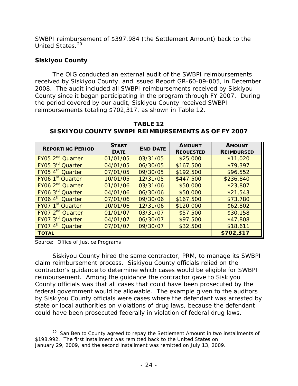SWBPI reimbursement of \$397,984 (the Settlement Amount) back to the United States.<sup>20</sup>

# **Siskiyou County**

The OIG conducted an external audit of the SWBPI reimbursements received by Siskiyou County, and issued Report GR-60-09-005, in December 2008. The audit included all SWBPI reimbursements received by Siskiyou County since it began participating in the program through FY 2007. During the period covered by our audit, Siskiyou County received SWBPI reimbursements totaling \$702,317, as shown in Table 12.

| <b>REPORTING PERIOD</b>      | <b>START</b><br><b>DATE</b> | <b>END DATE</b> | <b>AMOUNT</b><br><b>REQUESTED</b> | <b>AMOUNT</b><br><b>REIMBURSED</b> |
|------------------------------|-----------------------------|-----------------|-----------------------------------|------------------------------------|
| FY05 2 <sup>nd</sup> Quarter | 01/01/05                    | 03/31/05        |                                   |                                    |
|                              |                             |                 | \$25,000                          | \$11,020                           |
| FY05 3 <sup>rd</sup> Quarter | 04/01/05                    | 06/30/05        | \$167,500                         | \$79,397                           |
| FY05 4 <sup>th</sup> Quarter | 07/01/05                    | 09/30/05        | \$192,500                         | \$96,552                           |
| FY06 1 <sup>st</sup> Quarter | 10/01/05                    | 12/31/05        | \$447,500                         | \$236,840                          |
| FY06 2 <sup>nd</sup> Quarter | 01/01/06                    | 03/31/06        | \$50,000                          | \$23,807                           |
| FY06 3 <sup>rd</sup> Quarter | 04/01/06                    | 06/30/06        | \$50,000                          | \$21,543                           |
| FY06 4 <sup>th</sup> Quarter | 07/01/06                    | 09/30/06        | \$167,500                         | \$73,780                           |
| FY07 1 <sup>st</sup> Quarter | 10/01/06                    | 12/31/06        | \$120,000                         | \$62,802                           |
| FY07 2 <sup>nd</sup> Quarter | 01/01/07                    | 03/31/07        | \$57,500                          | \$30,158                           |
| FY07 3 <sup>rd</sup> Quarter | 04/01/07                    | 06/30/07        | \$97,500                          | \$47,808                           |
| FY07 4 <sup>th</sup> Quarter | 07/01/07                    | 09/30/07        | \$32,500                          | \$18,611                           |
| <b>TOTAL</b>                 |                             |                 |                                   | \$702,317                          |

 **SISKIYOU COUNTY SWBPI REIMBURSEMENTS AS OF FY 2007 TABLE 12** 

Source: Office of Justice Programs

 $\overline{a}$ 

 reimbursement. Among the guidance the contractor gave to Siskiyou County officials was that all cases that could have been prosecuted by the could have been prosecuted federally in violation of federal drug laws. could have been prosecuted federally in violation of federal drug laws.<br>20 San Benito County agreed to repay the Settlement Amount in two installments of Siskiyou County hired the same contractor, PRM, to manage its SWBPI claim reimbursement process. Siskiyou County officials relied on the contractor's guidance to determine which cases would be eligible for SWBPI federal government would be allowable. The example given to the auditors by Siskiyou County officials were cases where the defendant was arrested by state or local authorities on violations of drug laws, because the defendant

<span id="page-33-0"></span> \$198,992. The first installment was remitted back to the United States on January 29, 2009, and the second installment was remitted on July 13, 2009.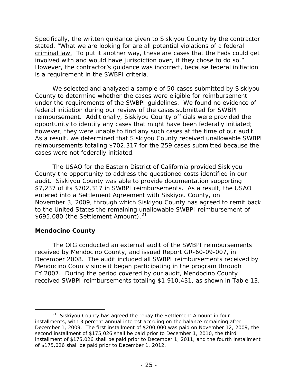criminal law. To put it another way, these are cases that the Feds could get involved with and would have jurisdiction over, if they chose to do so." Specifically, the written guidance given to Siskiyou County by the contractor stated, "What we are looking for are all potential violations of a federal However, the contractor's quidance was incorrect, because federal initiation is a requirement in the SWBPI criteria.

however, they were unable to find any such cases at the time of our audit. We selected and analyzed a sample of 50 cases submitted by Siskiyou County to determine whether the cases were eligible for reimbursement under the requirements of the SWBPI guidelines. We found no evidence of federal initiation during our review of the cases submitted for SWBPI reimbursement. Additionally, Siskiyou County officials were provided the opportunity to identify any cases that might have been federally initiated; As a result, we determined that Siskiyou County received unallowable SWBPI reimbursements totaling \$702,317 for the 259 cases submitted because the cases were not federally initiated.

 County the opportunity to address the questioned costs identified in our audit. Siskiyou County was able to provide documentation supporting \$7,237 of its \$702,317 in SWBPI reimbursements. As a result, the USAO November 3, 2009, through which Siskiyou County has agreed to remit back The USAO for the Eastern District of California provided Siskiyou entered into a Settlement Agreement with Siskiyou County, on to the United States the remaining unallowable SWBPI reimbursement of  $$695,080$  (the Settlement Amount).<sup>21</sup>

# **Mendocino County**

The OIG conducted an external audit of the SWBPI reimbursements received by Mendocino County, and issued Report GR-60-09-007, in December 2008. The audit included all SWBPI reimbursements received by Mendocino County since it began participating in the program through FY 2007. During the period covered by our audit, Mendocino County received SWBPI reimbursements totaling \$1,910,431, as shown in Table 13.

<span id="page-34-0"></span> $\overline{a}$  $21$  Siskiyou County has agreed the repay the Settlement Amount in four installments, with 3 percent annual interest accruing on the balance remaining after December 1, 2009. The first installment of \$200,000 was paid on November 12, 2009, the second installment of \$175,026 shall be paid prior to December 1, 2010, the third installment of \$175,026 shall be paid prior to December 1, 2011, and the fourth installment of \$175,026 shall be paid prior to December 1, 2012.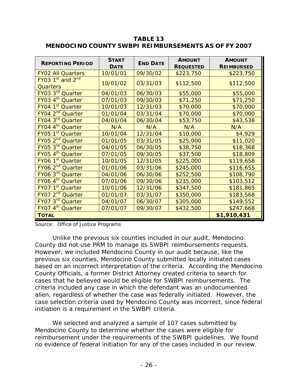FY03 3rd Quarter 04/01/03 06/30/03 \$55,000 \$55,000 FY03 4<sup>th</sup> Quarter  $\sqrt{07/01/03}$   $\sqrt{09/30/03}$  \$71,250 \$71,250 FY04 1<sup>st</sup> Quarter | 10/01/03 | 12/31/03 | \$70,000 | \$70,000 FY04 2nd Quarter 01/01/04 03/31/04 \$70,000 \$70,000 FY04 3rd Quarter 04/01/04 06/30/04 \$53,750 \$43,538  $FYO4 4<sup>th</sup>$  Quarter  $\begin{vmatrix} N/A & N/A & N/A \end{vmatrix}$  N/A N/A FY05 1<sup>st</sup> Quarter  $\begin{array}{|c|c|c|c|c|c|}\n\hline\n10/01/04 & 12/31/04 & 10,000 & 10 & 1,929 \\
\hline\n\end{array}$  FY05 2nd Quarter 01/01/05 03/31/05 \$25,000 \$11,020 FY05 3<sup>rd</sup> Quarter  $\sqrt{04/01/05}$   $\sqrt{06/30/05}$   $\sqrt{0.38,750}$   $\sqrt{0.38,368}$  FY05 4th Quarter 07/01/05 09/30/05 \$37,500 \$18,809 FY06 1<sup>st</sup> Quarter  $\begin{array}{|c|c|c|c|c|c|c|c|}\n\hline\n10/01/05 & 12/31/05 & 1225,000 & 1319,658\n\end{array}$  FY06 2nd Quarter 01/01/06 03/31/06 \$245,000 \$116,655 FY06 4th Quarter 07/01/06 09/30/06 \$235,000 \$103,512 FY07 1<sup>st</sup> Quarter  $\begin{array}{|c|c|c|c|c|c|c|c|}\n\hline\n10/01/06 & 12/31/06 & 15347,500 & 15347,865\n\hline\n\end{array}$  FY07 2nd Quarter 01/01/07 03/31/07 \$350,000 \$183,568 FY07 3rd Quarter 04/01/07 06/30/07 \$305,000 \$149,552 FY07 4th Quarter 07/01/07 09/30/07 \$432,500 \$247,668 **REPORTING PERIOD START DATE END DATE AMOUNT REQUESTED AMOUNT REIMBURSED**  FY02 All Quarters | 10/01/01 | 09/30/02 | \$223,750 | \$223,750 FY03  $1<sup>st</sup>$  and  $2<sup>nd</sup>$ Quarters 10/01/02 03/31/03 \$112,500 \$112,500 FY06 3rd Quarter 04/01/06 06/30/06 \$252,500 \$108,790 **TOTAL \$1,910,431** 

 **MENDOCINO COUNTY SWBPI REIMBURSEMENTS AS OF FY 2007 TABLE 13**

Source: Office of Justice Programs

County did not use PRM to manage its SWBPI reimbursements requests. cases that he believed would be eligible for SWBPI reimbursements. The Unlike the previous six counties included in our audit, Mendocino However, we included Mendocino County in our audit because, like the previous six counties, Mendocino County submitted locally initiated cases based on an incorrect interpretation of the criteria. According the Mendocino County Officials, a former District Attorney created criteria to search for criteria included any case in which the defendant was an undocumented alien, regardless of whether the case was federally initiated. However, the case selection criteria used by Mendocino County was incorrect, since federal initiation is a requirement in the SWBPI criteria.

We selected and analyzed a sample of 107 cases submitted by Mendocino County to determine whether the cases were eligible for reimbursement under the requirements of the SWBPI guidelines. We found no evidence of federal initiation for any of the cases included in our review.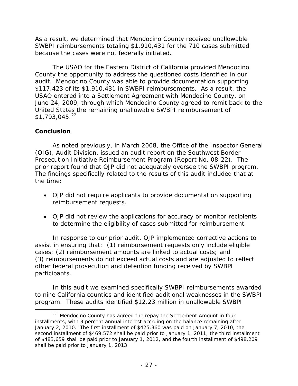As a result, we determined that Mendocino County received unallowable SWBPI reimbursements totaling \$1,910,431 for the 710 cases submitted because the cases were not federally initiated.

 \$117,423 of its \$1,910,431 in SWBPI reimbursements. As a result, the June 24, 2009, through which Mendocino County agreed to remit back to the The USAO for the Eastern District of California provided Mendocino County the opportunity to address the questioned costs identified in our audit. Mendocino County was able to provide documentation supporting USAO entered into a Settlement Agreement with Mendocino County, on United States the remaining unallowable SWBPI reimbursement of \$1,793,045. [22](#page-36-0) 

# **Conclusion**

 $\overline{a}$ 

 *Prosecution Initiative Reimbursement Program* (Report No. 08-22). The prior report found that OJP did not adequately oversee the SWBPI program. prior report found that OJP did not adequately oversee the SWBPI program.<br>The findings specifically related to the results of this audit included that at As noted previously, in March 2008, the Office of the Inspector General (OIG), Audit Division, issued an audit report on the *Southwest Border*  the time:

- reimbursement requests. • OJP did not require applicants to provide documentation supporting
- OJP did not review the applications for accuracy or monitor recipients to determine the eligibility of cases submitted for reimbursement.

 assist in ensuring that: (1) reimbursement requests only include eligible In response to our prior audit, OJP implemented corrective actions to cases; (2) reimbursement amounts are linked to actual costs; and (3) reimbursements do not exceed actual costs and are adjusted to reflect other federal prosecution and detention funding received by SWBPI participants.

 program. These audits identified \$12.23 million in unallowable SWBPI In this audit we examined specifically SWBPI reimbursements awarded to nine California counties and identified additional weaknesses in the SWBPI

<span id="page-36-0"></span> $22$  Mendocino County has agreed the repay the Settlement Amount in four installments, with 3 percent annual interest accruing on the balance remaining after January 2, 2010. The first installment of \$425,360 was paid on January 7, 2010, the second installment of \$469,572 shall be paid prior to January 1, 2011, the third installment of \$483,659 shall be paid prior to January 1, 2012, and the fourth installment of \$498,209 shall be paid prior to January 1, 2013.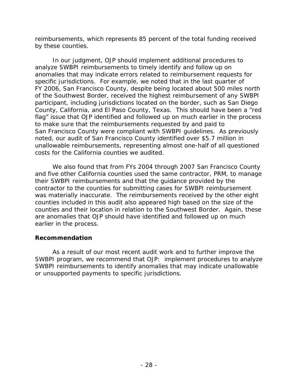by these counties. reimbursements, which represents 85 percent of the total funding received

 County, California, and El Paso County, Texas. This should have been a "red San Francisco County were compliant with SWBPI guidelines. As previously noted, our audit of San Francisco County identified over \$5.7 million in In our judgment, OJP should implement additional procedures to analyze SWBPI reimbursements to timely identify and follow up on anomalies that may indicate errors related to reimbursement requests for specific jurisdictions. For example, we noted that in the last quarter of FY 2006, San Francisco County, despite being located about 500 miles north of the Southwest Border, received the highest reimbursement of any SWBPI participant, including jurisdictions located on the border, such as San Diego flag" issue that OJP identified and followed up on much earlier in the process to make sure that the reimbursements requested by and paid to unallowable reimbursements, representing almost one-half of all questioned costs for the California counties we audited.

 their SWBPI reimbursements and that the guidance provided by the was materially inaccurate. The reimbursements received by the other eight counties and their location in relation to the Southwest Border. Again, these We also found that from FYs 2004 through 2007 San Francisco County and five other California counties used the same contractor, PRM, to manage contractor to the counties for submitting cases for SWBPI reimbursement counties included in this audit also appeared high based on the size of the are anomalies that OJP should have identified and followed up on much earlier in the process.

# **Recommendation**

As a result of our most recent audit work and to further improve the SWBPI program, we recommend that OJP: implement procedures to analyze SWBPI reimbursements to identify anomalies that may indicate unallowable or unsupported payments to specific jurisdictions.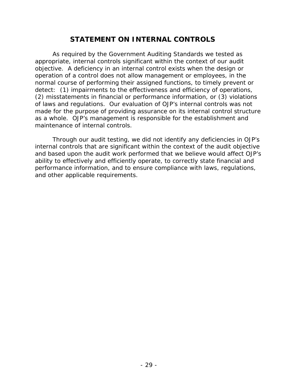# **STATEMENT ON INTERNAL CONTROLS**

 As required by the *Government Auditing Standards* we tested as of laws and regulations. Our evaluation of OJP's internal controls was *not*  appropriate, internal controls significant within the context of our audit objective. A deficiency in an internal control exists when the design or operation of a control does not allow management or employees, in the normal course of performing their assigned functions, to timely prevent or detect: (1) impairments to the effectiveness and efficiency of operations, (2) misstatements in financial or performance information, or (3) violations made for the purpose of providing assurance on its internal control structure as a whole. OJP's management is responsible for the establishment and maintenance of internal controls.

Through our audit testing, we did not identify any deficiencies in OJP's internal controls that are significant within the context of the audit objective and based upon the audit work performed that we believe would affect OJP's ability to effectively and efficiently operate, to correctly state financial and performance information, and to ensure compliance with laws, regulations, and other applicable requirements.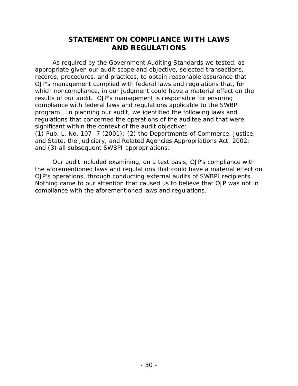# **STATEMENT ON COMPLIANCE WITH LAWS AND REGULATIONS**

 As required by the *Government Auditing Standards* we tested, as program. In planning our audit, we identified the following laws and significant within the context of the audit objective: significant within the context of the audit objective:<br>(1) Pub. L. No. 107- 7 (2001); (2) the Departments of Commerce, Justice, appropriate given our audit scope and objective, selected transactions, records, procedures, and practices, to obtain reasonable assurance that OJP's management complied with federal laws and regulations that, for which noncompliance, in our judgment could have a material effect on the results of our audit. OJP's management is responsible for ensuring compliance with federal laws and regulations applicable to the SWBPI regulations that concerned the operations of the auditee and that were

and State, the Judiciary, and Related Agencies Appropriations Act, 2002; and (3) all subsequent SWBPI appropriations.

OJP's operations, through conducting external audits of SWBPI recipients. OJP's operations, through conducting external audits of SWBPI recipients.<br>Nothing came to our attention that caused us to believe that OJP was not in Our audit included examining, on a test basis, OJP's compliance with the aforementioned laws and regulations that could have a material effect on compliance with the aforementioned laws and regulations.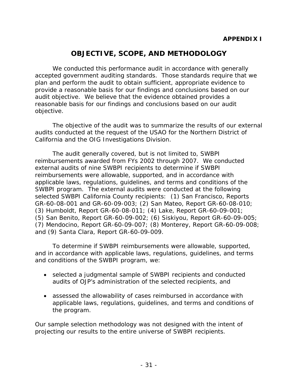# **OBJECTIVE, SCOPE, AND METHODOLOGY**

 reasonable basis for our findings and conclusions based on our audit We conducted this performance audit in accordance with generally accepted government auditing standards. Those standards require that we plan and perform the audit to obtain sufficient, appropriate evidence to provide a reasonable basis for our findings and conclusions based on our audit objective. We believe that the evidence obtained provides a objective.

 The objective of the audit was to summarize the results of our external audits conducted at the request of the USAO for the Northern District of California and the OIG Investigations Division.

 external audits of nine SWBPI recipients to determine if SWBPI The audit generally covered, but is not limited to, SWBPI reimbursements awarded from FYs 2002 through 2007. We conducted reimbursements were allowable, supported, and in accordance with applicable laws, regulations, guidelines, and terms and conditions of the SWBPI program. The external audits were conducted at the following selected SWBPI California County recipients: (1) San Francisco, Reports GR-60-08-001 and GR-60-09-003; (2) San Mateo, Report GR-60-08-010; (3) Humboldt, Report GR-60-08-011; (4) Lake, Report GR-60-09-001; (5) San Benito, Report GR-60-09-002; (6) Siskiyou, Report GR-60-09-005; (7) Mendocino, Report GR-60-09-007; (8) Monterey, Report GR-60-09-008; and (9) Santa Clara, Report GR-60-09-009.

To determine if SWBPI reimbursements were allowable, supported, and in accordance with applicable laws, regulations, guidelines, and terms and conditions of the SWBPI program, we:

- selected a judgmental sample of SWBPI recipients and conducted audits of OJP's administration of the selected recipients, and
- assessed the allowability of cases reimbursed in accordance with applicable laws, regulations, guidelines, and terms and conditions of the program.

Our sample selection methodology was not designed with the intent of projecting our results to the entire universe of SWBPI recipients.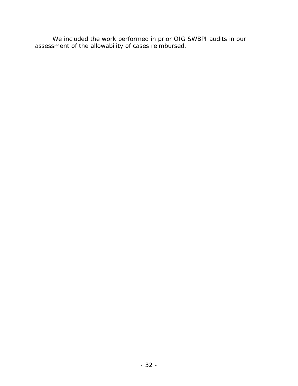We included the work performed in prior OIG SWBPI audits in our assessment of the allowability of cases reimbursed.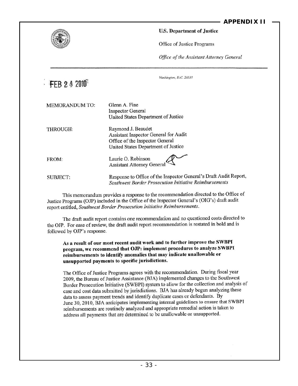#### **APPENDIX II**



u.s. Department of Justice

Office of Justice Programs

*Office of the Assistant Attorney General* 

Washington, D.C. 20531 [FEB 2 4 2010' MEMORANDUM TO: Glenn A. Fine Inspector General United States Department of Justice THROUGH: Raymond J. Beaudet Assistant Inspector General for Audit Office of the Inspector General United States Department of Justice F Justice<br> **A** O. Robinson FROM:  $\mathcal{A}$ ssistant Attorney General $\mathcal{A}$ SUBJECT: Response to Office of the Inspector General's Draft Audit Report, *Southwest Border Prosecution Initiative Reimbursements* 

This memorandum provides a response to the recommendation directed to the Office of Justice Programs (OJP) included in the Office of the Inspector General's (OIG's) draft audit report entitled, *Soulhwest Border Proseculion Iniliative Reimbursements.* 

The draft audit report contains one recommendation and no questioned costs directed to the OJP. For ease of review, the draft audit report recommendation is restated in bold and is followed by OlP's response.

As a result of our most recent audit work and to further improve the SWRPI program, we recommend that OJP: implement procedures to analyze SWBPI reimbursements to identify anomalies that may indicate unallowable or unsupported payments to specific jurisdictions.

The Office of Justice Programs agrees with the recommendation. During fiscal year 2009, the Bureau of Justice Assistance (BJA) implemented changes to thc Southwest Border Prosecution Initiative (SWBPI) system to allow for the collection and analysis of case and cost data submitted by jurisdictions. BJA has already begun analyzing these data to assess payment trends and identify duplicate cases or defendants. By June 30, 2010, BJA anticipates implementing internal guidelines to ensure that SWBPI reimbursements are routinely analyzed and appropriate remedial action is taken to address all payments that are determined to be unallowable or unsupported.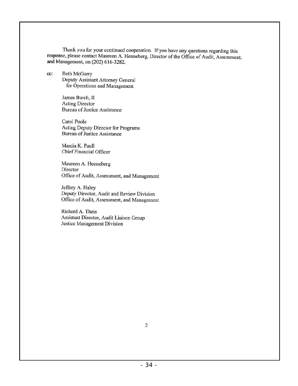Thank you for your continued cooperation. If you have any questions regarding this response, please contact Maureen A. Henneberg, Director of the Office of Audit, Assessment, and Management, on (202) 616-3282.

cc: Beth McGarry Deputy Assistant Attorney General for Operations and Management

> James Burch, II Acting Director Bureau of Justice Assistance

Carol Poole Acting Deputy Director for Programs Bureau of Justice Assistance

Marcia K. Paull Chief Financial Officer

Maureen A. Henneberg Director Office of Audit, Assessment, and Management

Jeffery A. Haley Deputy Director, Audit and Review Division Office of Audit, Assessment, and Management

Richard A. Theis Assistant Director, Audit Liaison Group Justice Management Division